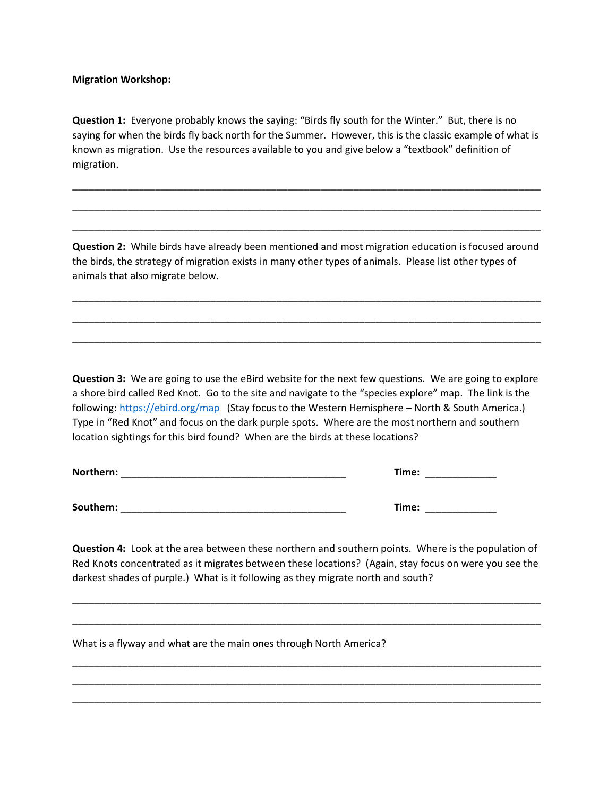**Migration Workshop:**

**Question 1:** Everyone probably knows the saying: "Birds fly south for the Winter." But, there is no saying for when the birds fly back north for the Summer. However, this is the classic example of what is known as migration. Use the resources available to you and give below a "textbook" definition of migration.

\_\_\_\_\_\_\_\_\_\_\_\_\_\_\_\_\_\_\_\_\_\_\_\_\_\_\_\_\_\_\_\_\_\_\_\_\_\_\_\_\_\_\_\_\_\_\_\_\_\_\_\_\_\_\_\_\_\_\_\_\_\_\_\_\_\_\_\_\_\_\_\_\_\_\_\_\_\_\_\_\_\_\_\_\_

\_\_\_\_\_\_\_\_\_\_\_\_\_\_\_\_\_\_\_\_\_\_\_\_\_\_\_\_\_\_\_\_\_\_\_\_\_\_\_\_\_\_\_\_\_\_\_\_\_\_\_\_\_\_\_\_\_\_\_\_\_\_\_\_\_\_\_\_\_\_\_\_\_\_\_\_\_\_\_\_\_\_\_\_\_

\_\_\_\_\_\_\_\_\_\_\_\_\_\_\_\_\_\_\_\_\_\_\_\_\_\_\_\_\_\_\_\_\_\_\_\_\_\_\_\_\_\_\_\_\_\_\_\_\_\_\_\_\_\_\_\_\_\_\_\_\_\_\_\_\_\_\_\_\_\_\_\_\_\_\_\_\_\_\_\_\_\_\_\_\_

**Question 2:** While birds have already been mentioned and most migration education is focused around the birds, the strategy of migration exists in many other types of animals. Please list other types of animals that also migrate below.

\_\_\_\_\_\_\_\_\_\_\_\_\_\_\_\_\_\_\_\_\_\_\_\_\_\_\_\_\_\_\_\_\_\_\_\_\_\_\_\_\_\_\_\_\_\_\_\_\_\_\_\_\_\_\_\_\_\_\_\_\_\_\_\_\_\_\_\_\_\_\_\_\_\_\_\_\_\_\_\_\_\_\_\_\_

\_\_\_\_\_\_\_\_\_\_\_\_\_\_\_\_\_\_\_\_\_\_\_\_\_\_\_\_\_\_\_\_\_\_\_\_\_\_\_\_\_\_\_\_\_\_\_\_\_\_\_\_\_\_\_\_\_\_\_\_\_\_\_\_\_\_\_\_\_\_\_\_\_\_\_\_\_\_\_\_\_\_\_\_\_

\_\_\_\_\_\_\_\_\_\_\_\_\_\_\_\_\_\_\_\_\_\_\_\_\_\_\_\_\_\_\_\_\_\_\_\_\_\_\_\_\_\_\_\_\_\_\_\_\_\_\_\_\_\_\_\_\_\_\_\_\_\_\_\_\_\_\_\_\_\_\_\_\_\_\_\_\_\_\_\_\_\_\_\_\_

**Question 3:** We are going to use the eBird website for the next few questions. We are going to explore a shore bird called Red Knot. Go to the site and navigate to the "species explore" map. The link is the following: <https://ebird.org/map>(Stay focus to the Western Hemisphere - North & South America.) Type in "Red Knot" and focus on the dark purple spots. Where are the most northern and southern location sightings for this bird found? When are the birds at these locations?

| Northern: | Time: |
|-----------|-------|
| Southern: | Time: |

**Question 4:** Look at the area between these northern and southern points. Where is the population of Red Knots concentrated as it migrates between these locations? (Again, stay focus on were you see the darkest shades of purple.) What is it following as they migrate north and south?

\_\_\_\_\_\_\_\_\_\_\_\_\_\_\_\_\_\_\_\_\_\_\_\_\_\_\_\_\_\_\_\_\_\_\_\_\_\_\_\_\_\_\_\_\_\_\_\_\_\_\_\_\_\_\_\_\_\_\_\_\_\_\_\_\_\_\_\_\_\_\_\_\_\_\_\_\_\_\_\_\_\_\_\_\_

\_\_\_\_\_\_\_\_\_\_\_\_\_\_\_\_\_\_\_\_\_\_\_\_\_\_\_\_\_\_\_\_\_\_\_\_\_\_\_\_\_\_\_\_\_\_\_\_\_\_\_\_\_\_\_\_\_\_\_\_\_\_\_\_\_\_\_\_\_\_\_\_\_\_\_\_\_\_\_\_\_\_\_\_\_

\_\_\_\_\_\_\_\_\_\_\_\_\_\_\_\_\_\_\_\_\_\_\_\_\_\_\_\_\_\_\_\_\_\_\_\_\_\_\_\_\_\_\_\_\_\_\_\_\_\_\_\_\_\_\_\_\_\_\_\_\_\_\_\_\_\_\_\_\_\_\_\_\_\_\_\_\_\_\_\_\_\_\_\_\_ \_\_\_\_\_\_\_\_\_\_\_\_\_\_\_\_\_\_\_\_\_\_\_\_\_\_\_\_\_\_\_\_\_\_\_\_\_\_\_\_\_\_\_\_\_\_\_\_\_\_\_\_\_\_\_\_\_\_\_\_\_\_\_\_\_\_\_\_\_\_\_\_\_\_\_\_\_\_\_\_\_\_\_\_\_ \_\_\_\_\_\_\_\_\_\_\_\_\_\_\_\_\_\_\_\_\_\_\_\_\_\_\_\_\_\_\_\_\_\_\_\_\_\_\_\_\_\_\_\_\_\_\_\_\_\_\_\_\_\_\_\_\_\_\_\_\_\_\_\_\_\_\_\_\_\_\_\_\_\_\_\_\_\_\_\_\_\_\_\_\_

What is a flyway and what are the main ones through North America?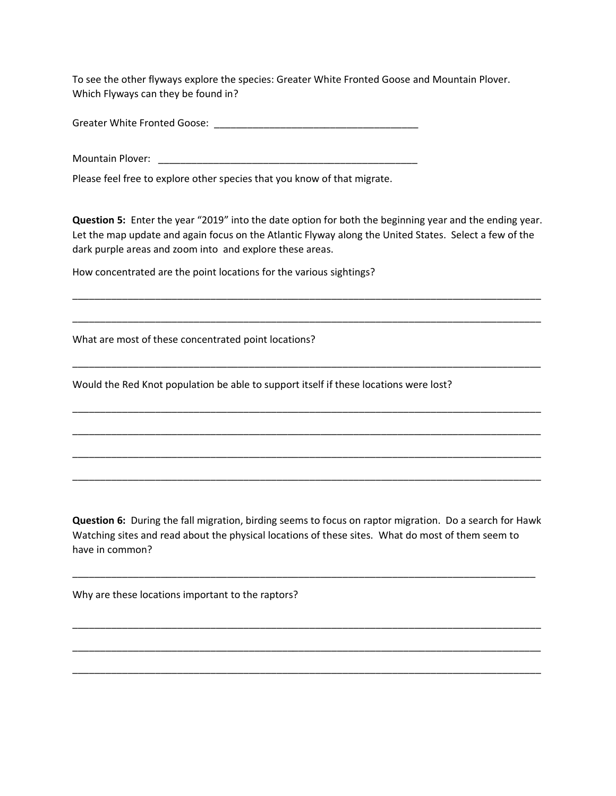To see the other flyways explore the species: Greater White Fronted Goose and Mountain Plover. Which Flyways can they be found in?

Greater White Fronted Goose: \_\_\_\_\_\_\_\_\_\_\_\_\_\_\_\_\_\_\_\_\_\_\_\_\_\_\_\_\_\_\_\_\_\_\_\_\_

Mountain Plover: \_\_\_\_\_\_\_\_\_\_\_\_\_\_\_\_\_\_\_\_\_\_\_\_\_\_\_\_\_\_\_\_\_\_\_\_\_\_\_\_\_\_\_\_\_\_\_

Please feel free to explore other species that you know of that migrate.

**Question 5:** Enter the year "2019" into the date option for both the beginning year and the ending year. Let the map update and again focus on the Atlantic Flyway along the United States. Select a few of the dark purple areas and zoom into and explore these areas.

\_\_\_\_\_\_\_\_\_\_\_\_\_\_\_\_\_\_\_\_\_\_\_\_\_\_\_\_\_\_\_\_\_\_\_\_\_\_\_\_\_\_\_\_\_\_\_\_\_\_\_\_\_\_\_\_\_\_\_\_\_\_\_\_\_\_\_\_\_\_\_\_\_\_\_\_\_\_\_\_\_\_\_\_\_

\_\_\_\_\_\_\_\_\_\_\_\_\_\_\_\_\_\_\_\_\_\_\_\_\_\_\_\_\_\_\_\_\_\_\_\_\_\_\_\_\_\_\_\_\_\_\_\_\_\_\_\_\_\_\_\_\_\_\_\_\_\_\_\_\_\_\_\_\_\_\_\_\_\_\_\_\_\_\_\_\_\_\_\_\_

\_\_\_\_\_\_\_\_\_\_\_\_\_\_\_\_\_\_\_\_\_\_\_\_\_\_\_\_\_\_\_\_\_\_\_\_\_\_\_\_\_\_\_\_\_\_\_\_\_\_\_\_\_\_\_\_\_\_\_\_\_\_\_\_\_\_\_\_\_\_\_\_\_\_\_\_\_\_\_\_\_\_\_\_\_

\_\_\_\_\_\_\_\_\_\_\_\_\_\_\_\_\_\_\_\_\_\_\_\_\_\_\_\_\_\_\_\_\_\_\_\_\_\_\_\_\_\_\_\_\_\_\_\_\_\_\_\_\_\_\_\_\_\_\_\_\_\_\_\_\_\_\_\_\_\_\_\_\_\_\_\_\_\_\_\_\_\_\_\_\_

\_\_\_\_\_\_\_\_\_\_\_\_\_\_\_\_\_\_\_\_\_\_\_\_\_\_\_\_\_\_\_\_\_\_\_\_\_\_\_\_\_\_\_\_\_\_\_\_\_\_\_\_\_\_\_\_\_\_\_\_\_\_\_\_\_\_\_\_\_\_\_\_\_\_\_\_\_\_\_\_\_\_\_\_\_

\_\_\_\_\_\_\_\_\_\_\_\_\_\_\_\_\_\_\_\_\_\_\_\_\_\_\_\_\_\_\_\_\_\_\_\_\_\_\_\_\_\_\_\_\_\_\_\_\_\_\_\_\_\_\_\_\_\_\_\_\_\_\_\_\_\_\_\_\_\_\_\_\_\_\_\_\_\_\_\_\_\_\_\_\_

\_\_\_\_\_\_\_\_\_\_\_\_\_\_\_\_\_\_\_\_\_\_\_\_\_\_\_\_\_\_\_\_\_\_\_\_\_\_\_\_\_\_\_\_\_\_\_\_\_\_\_\_\_\_\_\_\_\_\_\_\_\_\_\_\_\_\_\_\_\_\_\_\_\_\_\_\_\_\_\_\_\_\_\_\_

How concentrated are the point locations for the various sightings?

What are most of these concentrated point locations?

Would the Red Knot population be able to support itself if these locations were lost?

**Question 6:** During the fall migration, birding seems to focus on raptor migration. Do a search for Hawk Watching sites and read about the physical locations of these sites. What do most of them seem to have in common?

\_\_\_\_\_\_\_\_\_\_\_\_\_\_\_\_\_\_\_\_\_\_\_\_\_\_\_\_\_\_\_\_\_\_\_\_\_\_\_\_\_\_\_\_\_\_\_\_\_\_\_\_\_\_\_\_\_\_\_\_\_\_\_\_\_\_\_\_\_\_\_\_\_\_\_\_\_\_\_\_\_\_\_\_

\_\_\_\_\_\_\_\_\_\_\_\_\_\_\_\_\_\_\_\_\_\_\_\_\_\_\_\_\_\_\_\_\_\_\_\_\_\_\_\_\_\_\_\_\_\_\_\_\_\_\_\_\_\_\_\_\_\_\_\_\_\_\_\_\_\_\_\_\_\_\_\_\_\_\_\_\_\_\_\_\_\_\_\_\_

\_\_\_\_\_\_\_\_\_\_\_\_\_\_\_\_\_\_\_\_\_\_\_\_\_\_\_\_\_\_\_\_\_\_\_\_\_\_\_\_\_\_\_\_\_\_\_\_\_\_\_\_\_\_\_\_\_\_\_\_\_\_\_\_\_\_\_\_\_\_\_\_\_\_\_\_\_\_\_\_\_\_\_\_\_

\_\_\_\_\_\_\_\_\_\_\_\_\_\_\_\_\_\_\_\_\_\_\_\_\_\_\_\_\_\_\_\_\_\_\_\_\_\_\_\_\_\_\_\_\_\_\_\_\_\_\_\_\_\_\_\_\_\_\_\_\_\_\_\_\_\_\_\_\_\_\_\_\_\_\_\_\_\_\_\_\_\_\_\_\_

Why are these locations important to the raptors?